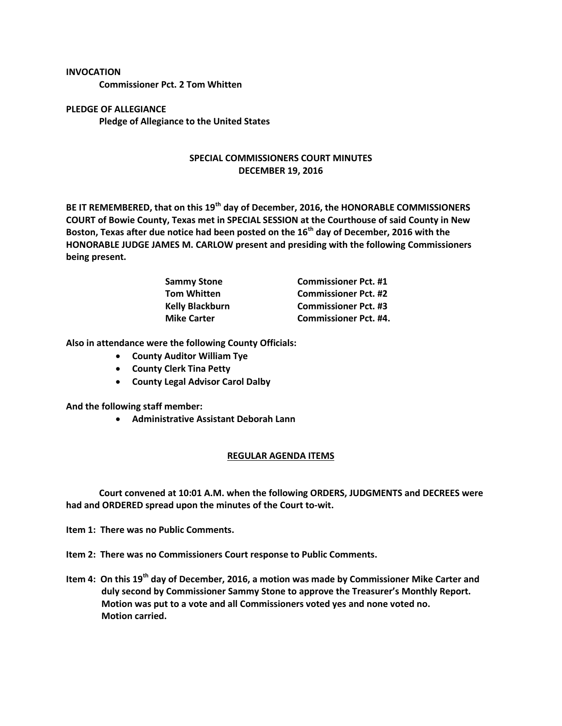## **INVOCATION**

**Commissioner Pct. 2 Tom Whitten**

**PLEDGE OF ALLEGIANCE Pledge of Allegiance to the United States**

## **SPECIAL COMMISSIONERS COURT MINUTES DECEMBER 19, 2016**

**BE IT REMEMBERED, that on this 19th day of December, 2016, the HONORABLE COMMISSIONERS COURT of Bowie County, Texas met in SPECIAL SESSION at the Courthouse of said County in New Boston, Texas after due notice had been posted on the 16th day of December, 2016 with the HONORABLE JUDGE JAMES M. CARLOW present and presiding with the following Commissioners being present.**

| <b>Sammy Stone</b>     | <b>Commissioner Pct. #1</b>  |
|------------------------|------------------------------|
| <b>Tom Whitten</b>     | <b>Commissioner Pct. #2</b>  |
| <b>Kelly Blackburn</b> | <b>Commissioner Pct. #3</b>  |
| <b>Mike Carter</b>     | <b>Commissioner Pct. #4.</b> |

**Also in attendance were the following County Officials:**

- **County Auditor William Tye**
- **County Clerk Tina Petty**
- **County Legal Advisor Carol Dalby**

**And the following staff member:**

**Administrative Assistant Deborah Lann**

## **REGULAR AGENDA ITEMS**

**Court convened at 10:01 A.M. when the following ORDERS, JUDGMENTS and DECREES were had and ORDERED spread upon the minutes of the Court to-wit.**

**Item 1: There was no Public Comments.**

**Item 2: There was no Commissioners Court response to Public Comments.**

**Item 4: On this 19th day of December, 2016, a motion was made by Commissioner Mike Carter and duly second by Commissioner Sammy Stone to approve the Treasurer's Monthly Report. Motion was put to a vote and all Commissioners voted yes and none voted no. Motion carried.**